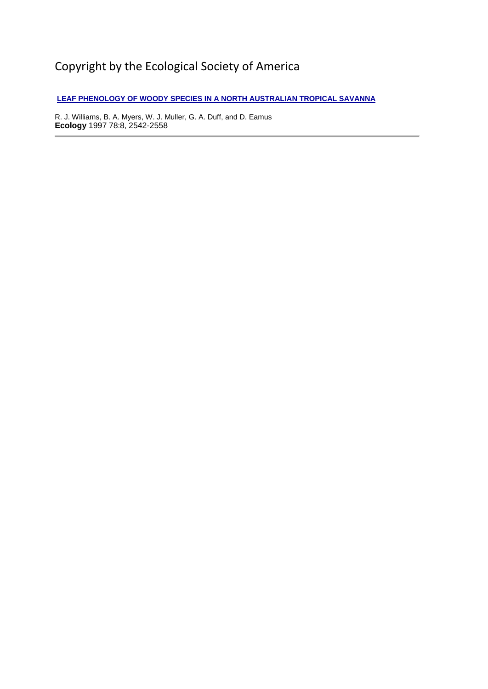# Copyright by the Ecological Society of America

**[LEAF PHENOLOGY OF WOODY SPECIES IN A NORTH AUSTRALIAN TROPICAL SAVANNA](http://www.esajournals.org/doi/abs/10.1890/0012-9658%281997%29078%5B2542%3ALPOWSI%5D2.0.CO%3B2)**

R. J. Williams, B. A. Myers, W. J. Muller, G. A. Duff, and D. Eamus **Ecology** 1997 78:8, 2542-2558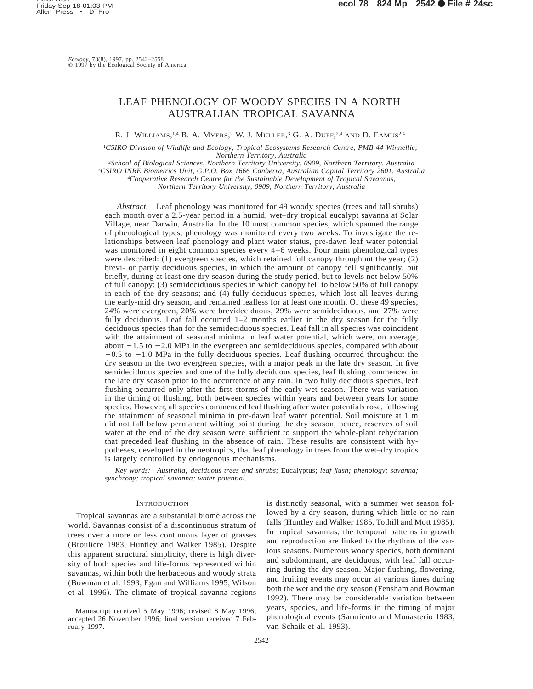# LEAF PHENOLOGY OF WOODY SPECIES IN A NORTH AUSTRALIAN TROPICAL SAVANNA

R. J. WILLIAMS,<sup>1,4</sup> B. A. Myers,<sup>2</sup> W. J. Muller,<sup>3</sup> G. A. Duff,<sup>2,4</sup> and D. Eamus<sup>2,4</sup>

1 *CSIRO Division of Wildlife and Ecology, Tropical Ecosystems Research Centre, PMB 44 Winnellie, Northern Territory, Australia*

 *School of Biological Sciences, Northern Territory University, 0909, Northern Territory, Australia CSIRO INRE Biometrics Unit, G.P.O. Box 1666 Canberra, Australian Capital Territory 2601, Australia Cooperative Research Centre for the Sustainable Development of Tropical Savannas, Northern Territory University, 0909, Northern Territory, Australia*

*Abstract.* Leaf phenology was monitored for 49 woody species (trees and tall shrubs) each month over a 2.5-year period in a humid, wet–dry tropical eucalypt savanna at Solar Village, near Darwin, Australia. In the 10 most common species, which spanned the range of phenological types, phenology was monitored every two weeks. To investigate the relationships between leaf phenology and plant water status, pre-dawn leaf water potential was monitored in eight common species every 4–6 weeks. Four main phenological types were described: (1) evergreen species, which retained full canopy throughout the year; (2) brevi- or partly deciduous species, in which the amount of canopy fell significantly, but briefly, during at least one dry season during the study period, but to levels not below 50% of full canopy; (3) semideciduous species in which canopy fell to below 50% of full canopy in each of the dry seasons; and (4) fully deciduous species, which lost all leaves during the early-mid dry season, and remained leafless for at least one month. Of these 49 species, 24% were evergreen, 20% were brevideciduous, 29% were semideciduous, and 27% were fully deciduous. Leaf fall occurred 1–2 months earlier in the dry season for the fully deciduous species than for the semideciduous species. Leaf fall in all species was coincident with the attainment of seasonal minima in leaf water potential, which were, on average, about  $-1.5$  to  $-2.0$  MPa in the evergreen and semideciduous species, compared with about  $-0.5$  to  $-1.0$  MPa in the fully deciduous species. Leaf flushing occurred throughout the dry season in the two evergreen species, with a major peak in the late dry season. In five semideciduous species and one of the fully deciduous species, leaf flushing commenced in the late dry season prior to the occurrence of any rain. In two fully deciduous species, leaf flushing occurred only after the first storms of the early wet season. There was variation in the timing of flushing, both between species within years and between years for some species. However, all species commenced leaf flushing after water potentials rose, following the attainment of seasonal minima in pre-dawn leaf water potential. Soil moisture at 1 m did not fall below permanent wilting point during the dry season; hence, reserves of soil water at the end of the dry season were sufficient to support the whole-plant rehydration that preceded leaf flushing in the absence of rain. These results are consistent with hypotheses, developed in the neotropics, that leaf phenology in trees from the wet–dry tropics is largely controlled by endogenous mechanisms.

*Key words: Australia; deciduous trees and shrubs;* Eucalyptus; *leaf flush; phenology; savanna; synchrony; tropical savanna; water potential.*

# **INTRODUCTION**

Tropical savannas are a substantial biome across the world. Savannas consist of a discontinuous stratum of trees over a more or less continuous layer of grasses (Brouliere 1983, Huntley and Walker 1985). Despite this apparent structural simplicity, there is high diversity of both species and life-forms represented within savannas, within both the herbaceous and woody strata (Bowman et al. 1993, Egan and Williams 1995, Wilson et al. 1996). The climate of tropical savanna regions

Manuscript received 5 May 1996; revised 8 May 1996; accepted 26 November 1996; final version received 7 February 1997.

is distinctly seasonal, with a summer wet season followed by a dry season, during which little or no rain falls (Huntley and Walker 1985, Tothill and Mott 1985). In tropical savannas, the temporal patterns in growth and reproduction are linked to the rhythms of the various seasons. Numerous woody species, both dominant and subdominant, are deciduous, with leaf fall occurring during the dry season. Major flushing, flowering, and fruiting events may occur at various times during both the wet and the dry season (Fensham and Bowman 1992). There may be considerable variation between years, species, and life-forms in the timing of major phenological events (Sarmiento and Monasterio 1983, van Schaik et al. 1993).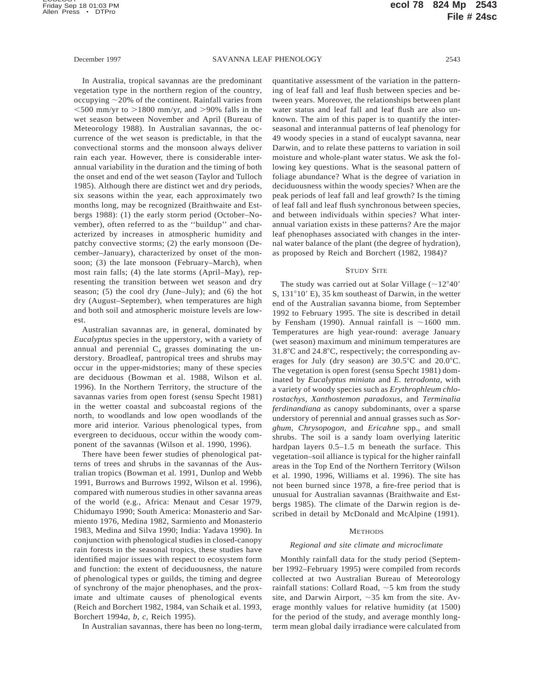In Australia, tropical savannas are the predominant vegetation type in the northern region of the country, occupying  $\sim$ 20% of the continent. Rainfall varies from  $<$  500 mm/yr to  $>$ 1800 mm/yr, and  $>$ 90% falls in the wet season between November and April (Bureau of Meteorology 1988). In Australian savannas, the occurrence of the wet season is predictable, in that the convectional storms and the monsoon always deliver rain each year. However, there is considerable interannual variability in the duration and the timing of both the onset and end of the wet season (Taylor and Tulloch 1985). Although there are distinct wet and dry periods, six seasons within the year, each approximately two months long, may be recognized (Braithwaite and Estbergs 1988): (1) the early storm period (October–November), often referred to as the ''buildup'' and characterized by increases in atmospheric humidity and patchy convective storms; (2) the early monsoon (December–January), characterized by onset of the monsoon; (3) the late monsoon (February–March), when most rain falls; (4) the late storms (April–May), representing the transition between wet season and dry season; (5) the cool dry (June–July); and (6) the hot dry (August–September), when temperatures are high and both soil and atmospheric moisture levels are lowest.

Australian savannas are, in general, dominated by *Eucalyptus* species in the upperstory, with a variety of annual and perennial  $C_4$  grasses dominating the understory. Broadleaf, pantropical trees and shrubs may occur in the upper-midstories; many of these species are deciduous (Bowman et al. 1988, Wilson et al. 1996). In the Northern Territory, the structure of the savannas varies from open forest (sensu Specht 1981) in the wetter coastal and subcoastal regions of the north, to woodlands and low open woodlands of the more arid interior. Various phenological types, from evergreen to deciduous, occur within the woody component of the savannas (Wilson et al. 1990, 1996).

There have been fewer studies of phenological patterns of trees and shrubs in the savannas of the Australian tropics (Bowman et al. 1991, Dunlop and Webb 1991, Burrows and Burrows 1992, Wilson et al. 1996), compared with numerous studies in other savanna areas of the world (e.g., Africa: Menaut and Cesar 1979, Chidumayo 1990; South America: Monasterio and Sarmiento 1976, Medina 1982, Sarmiento and Monasterio 1983, Medina and Silva 1990; India: Yadava 1990). In conjunction with phenological studies in closed-canopy rain forests in the seasonal tropics, these studies have identified major issues with respect to ecosystem form and function: the extent of deciduousness, the nature of phenological types or guilds, the timing and degree of synchrony of the major phenophases, and the proximate and ultimate causes of phenological events (Reich and Borchert 1982, 1984, van Schaik et al. 1993, Borchert 1994*a*, *b*, *c*, Reich 1995).

In Australian savannas, there has been no long-term,

quantitative assessment of the variation in the patterning of leaf fall and leaf flush between species and between years. Moreover, the relationships between plant water status and leaf fall and leaf flush are also unknown. The aim of this paper is to quantify the interseasonal and interannual patterns of leaf phenology for 49 woody species in a stand of eucalypt savanna, near Darwin, and to relate these patterns to variation in soil moisture and whole-plant water status. We ask the following key questions. What is the seasonal pattern of foliage abundance? What is the degree of variation in deciduousness within the woody species? When are the peak periods of leaf fall and leaf growth? Is the timing of leaf fall and leaf flush synchronous between species, and between individuals within species? What interannual variation exists in these patterns? Are the major leaf phenophases associated with changes in the internal water balance of the plant (the degree of hydration), as proposed by Reich and Borchert (1982, 1984)?

#### STUDY SITE

The study was carried out at Solar Village ( $\sim$ 12°40' S,  $131^{\circ}10'$  E), 35 km southeast of Darwin, in the wetter end of the Australian savanna biome, from September 1992 to February 1995. The site is described in detail by Fensham (1990). Annual rainfall is  $\sim$ 1600 mm. Temperatures are high year-round: average January (wet season) maximum and minimum temperatures are  $31.8^{\circ}$ C and  $24.8^{\circ}$ C, respectively; the corresponding averages for July (dry season) are  $30.5^{\circ}$ C and  $20.0^{\circ}$ C. The vegetation is open forest (sensu Specht 1981) dominated by *Eucalyptus miniata* and *E. tetrodonta,* with a variety of woody species such as *Erythrophleum chlorostachys, Xanthostemon paradoxus,* and *Terminalia ferdinandiana* as canopy subdominants, over a sparse understory of perennial and annual grasses such as *Sorghum, Chrysopogon,* and *Ericahne* spp., and small shrubs. The soil is a sandy loam overlying lateritic hardpan layers  $0.5-1.5$  m beneath the surface. This vegetation–soil alliance is typical for the higher rainfall areas in the Top End of the Northern Territory (Wilson et al. 1990, 1996, Williams et al. 1996). The site has not been burned since 1978, a fire-free period that is unusual for Australian savannas (Braithwaite and Estbergs 1985). The climate of the Darwin region is described in detail by McDonald and McAlpine (1991).

#### **METHODS**

# *Regional and site climate and microclimate*

Monthly rainfall data for the study period (September 1992–February 1995) were compiled from records collected at two Australian Bureau of Meteorology rainfall stations: Collard Road,  $\sim$  5 km from the study site, and Darwin Airport,  $\sim$ 35 km from the site. Average monthly values for relative humidity (at 1500) for the period of the study, and average monthly longterm mean global daily irradiance were calculated from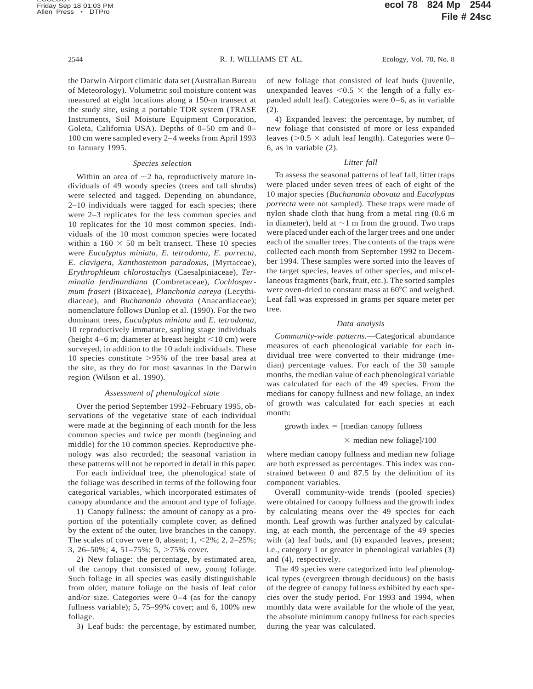the Darwin Airport climatic data set (Australian Bureau of Meteorology). Volumetric soil moisture content was measured at eight locations along a 150-m transect at the study site, using a portable TDR system (TRASE Instruments, Soil Moisture Equipment Corporation, Goleta, California USA). Depths of 0–50 cm and 0– 100 cm were sampled every 2–4 weeks from April 1993 to January 1995.

### *Species selection*

Within an area of  $\sim$ 2 ha, reproductively mature individuals of 49 woody species (trees and tall shrubs) were selected and tagged. Depending on abundance, 2–10 individuals were tagged for each species; there were 2–3 replicates for the less common species and 10 replicates for the 10 most common species. Individuals of the 10 most common species were located within a  $160 \times 50$  m belt transect. These 10 species were *Eucalyptus miniata, E. tetrodonta, E. porrecta, E. clavigera, Xanthostemon paradoxus,* (Myrtaceae), *Erythrophleum chlorostachys* (Caesalpiniaceae), *Terminalia ferdinandiana* (Combretaceae), *Cochlospermum fraseri* (Bixaceae), *Planchonia careya* (Lecythidiaceae), and *Buchanania obovata* (Anacardiaceae); nomenclature follows Dunlop et al. (1990). For the two dominant trees, *Eucalyptus miniata* and *E. tetrodonta,* 10 reproductively immature, sapling stage individuals (height  $4-6$  m; diameter at breast height  $<$ 10 cm) were surveyed, in addition to the 10 adult individuals. These 10 species constitute  $>95\%$  of the tree basal area at the site, as they do for most savannas in the Darwin region (Wilson et al. 1990).

## *Assessment of phenological state*

Over the period September 1992–February 1995, observations of the vegetative state of each individual were made at the beginning of each month for the less common species and twice per month (beginning and middle) for the 10 common species. Reproductive phenology was also recorded; the seasonal variation in these patterns will not be reported in detail in this paper.

For each individual tree, the phenological state of the foliage was described in terms of the following four categorical variables, which incorporated estimates of canopy abundance and the amount and type of foliage.

1) Canopy fullness: the amount of canopy as a proportion of the potentially complete cover, as defined by the extent of the outer, live branches in the canopy. The scales of cover were 0, absent;  $1, \le 2\%$ ;  $2, 2-25\%$ ; 3, 26–50%; 4, 51–75%; 5,  $>75\%$  cover.

2) New foliage: the percentage, by estimated area, of the canopy that consisted of new, young foliage. Such foliage in all species was easily distinguishable from older, mature foliage on the basis of leaf color and/or size. Categories were 0–4 (as for the canopy fullness variable); 5, 75–99% cover; and 6, 100% new foliage.

3) Leaf buds: the percentage, by estimated number,

of new foliage that consisted of leaf buds (juvenile, unexpanded leaves  $< 0.5 \times$  the length of a fully expanded adult leaf). Categories were 0–6, as in variable  $(2)$ 

4) Expanded leaves: the percentage, by number, of new foliage that consisted of more or less expanded leaves ( $> 0.5 \times$  adult leaf length). Categories were 0– 6, as in variable (2).

# *Litter fall*

To assess the seasonal patterns of leaf fall, litter traps were placed under seven trees of each of eight of the 10 major species (*Buchanania obovata* and *Eucalyptus porrecta* were not sampled). These traps were made of nylon shade cloth that hung from a metal ring (0.6 m in diameter), held at  $\sim$ 1 m from the ground. Two traps were placed under each of the larger trees and one under each of the smaller trees. The contents of the traps were collected each month from September 1992 to December 1994. These samples were sorted into the leaves of the target species, leaves of other species, and miscellaneous fragments (bark, fruit, etc.). The sorted samples were oven-dried to constant mass at 60°C and weighed. Leaf fall was expressed in grams per square meter per tree.

#### *Data analysis*

*Community-wide patterns.*—Categorical abundance measures of each phenological variable for each individual tree were converted to their midrange (median) percentage values. For each of the 30 sample months, the median value of each phenological variable was calculated for each of the 49 species. From the medians for canopy fullness and new foliage, an index of growth was calculated for each species at each month:

growth index  $=$  [median canopy fullness

### $\times$  median new foliage]/100

where median canopy fullness and median new foliage are both expressed as percentages. This index was constrained between 0 and 87.5 by the definition of its component variables.

Overall community-wide trends (pooled species) were obtained for canopy fullness and the growth index by calculating means over the 49 species for each month. Leaf growth was further analyzed by calculating, at each month, the percentage of the 49 species with (a) leaf buds, and (b) expanded leaves, present; i.e., category 1 or greater in phenological variables (3) and (4), respectively.

The 49 species were categorized into leaf phenological types (evergreen through deciduous) on the basis of the degree of canopy fullness exhibited by each species over the study period. For 1993 and 1994, when monthly data were available for the whole of the year, the absolute minimum canopy fullness for each species during the year was calculated.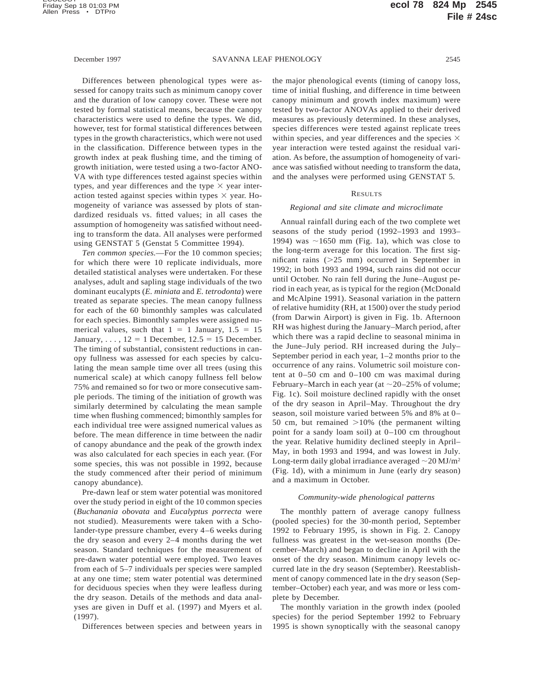Differences between phenological types were assessed for canopy traits such as minimum canopy cover and the duration of low canopy cover. These were not tested by formal statistical means, because the canopy characteristics were used to define the types. We did, however, test for formal statistical differences between types in the growth characteristics, which were not used in the classification. Difference between types in the growth index at peak flushing time, and the timing of growth initiation, were tested using a two-factor ANO-VA with type differences tested against species within types, and year differences and the type  $\times$  year interaction tested against species within types  $\times$  year. Homogeneity of variance was assessed by plots of standardized residuals vs. fitted values; in all cases the assumption of homogeneity was satisfied without needing to transform the data. All analyses were performed using GENSTAT 5 (Genstat 5 Committee 1994).

*Ten common species.*—For the 10 common species; for which there were 10 replicate individuals, more detailed statistical analyses were undertaken. For these analyses, adult and sapling stage individuals of the two dominant eucalypts (*E. miniata* and *E. tetrodonta*) were treated as separate species. The mean canopy fullness for each of the 60 bimonthly samples was calculated for each species. Bimonthly samples were assigned numerical values, such that  $1 = 1$  January,  $1.5 = 15$ January,  $\ldots$ , 12 = 1 December, 12.5 = 15 December. The timing of substantial, consistent reductions in canopy fullness was assessed for each species by calculating the mean sample time over all trees (using this numerical scale) at which canopy fullness fell below 75% and remained so for two or more consecutive sample periods. The timing of the initiation of growth was similarly determined by calculating the mean sample time when flushing commenced; bimonthly samples for each individual tree were assigned numerical values as before. The mean difference in time between the nadir of canopy abundance and the peak of the growth index was also calculated for each species in each year. (For some species, this was not possible in 1992, because the study commenced after their period of minimum canopy abundance).

Pre-dawn leaf or stem water potential was monitored over the study period in eight of the 10 common species (*Buchanania obovata* and *Eucalyptus porrecta* were not studied). Measurements were taken with a Scholander-type pressure chamber, every 4–6 weeks during the dry season and every 2–4 months during the wet season. Standard techniques for the measurement of pre-dawn water potential were employed. Two leaves from each of 5–7 individuals per species were sampled at any one time; stem water potential was determined for deciduous species when they were leafless during the dry season. Details of the methods and data analyses are given in Duff et al. (1997) and Myers et al. (1997).

Differences between species and between years in

the major phenological events (timing of canopy loss, time of initial flushing, and difference in time between canopy minimum and growth index maximum) were tested by two-factor ANOVAs applied to their derived measures as previously determined. In these analyses, species differences were tested against replicate trees within species, and year differences and the species  $\times$ year interaction were tested against the residual variation. As before, the assumption of homogeneity of variance was satisfied without needing to transform the data, and the analyses were performed using GENSTAT 5.

# RESULTS

# *Regional and site climate and microclimate*

Annual rainfall during each of the two complete wet seasons of the study period (1992–1993 and 1993– 1994) was  $\sim$ 1650 mm (Fig. 1a), which was close to the long-term average for this location. The first significant rains  $(>=25$  mm) occurred in September in 1992; in both 1993 and 1994, such rains did not occur until October. No rain fell during the June–August period in each year, as is typical for the region (McDonald and McAlpine 1991). Seasonal variation in the pattern of relative humidity (RH, at 1500) over the study period (from Darwin Airport) is given in Fig. 1b. Afternoon RH was highest during the January–March period, after which there was a rapid decline to seasonal minima in the June–July period. RH increased during the July– September period in each year, 1–2 months prior to the occurrence of any rains. Volumetric soil moisture content at 0–50 cm and 0–100 cm was maximal during February–March in each year (at  $\sim$  20–25% of volume; Fig. 1c). Soil moisture declined rapidly with the onset of the dry season in April–May. Throughout the dry season, soil moisture varied between 5% and 8% at 0– 50 cm, but remained  $>10\%$  (the permanent wilting point for a sandy loam soil) at 0–100 cm throughout the year. Relative humidity declined steeply in April– May, in both 1993 and 1994, and was lowest in July. Long-term daily global irradiance averaged  $\sim$  20 MJ/m<sup>2</sup> (Fig. 1d), with a minimum in June (early dry season) and a maximum in October.

# *Community-wide phenological patterns*

The monthly pattern of average canopy fullness (pooled species) for the 30-month period, September 1992 to February 1995, is shown in Fig. 2. Canopy fullness was greatest in the wet-season months (December–March) and began to decline in April with the onset of the dry season. Minimum canopy levels occurred late in the dry season (September). Reestablishment of canopy commenced late in the dry season (September–October) each year, and was more or less complete by December.

The monthly variation in the growth index (pooled species) for the period September 1992 to February 1995 is shown synoptically with the seasonal canopy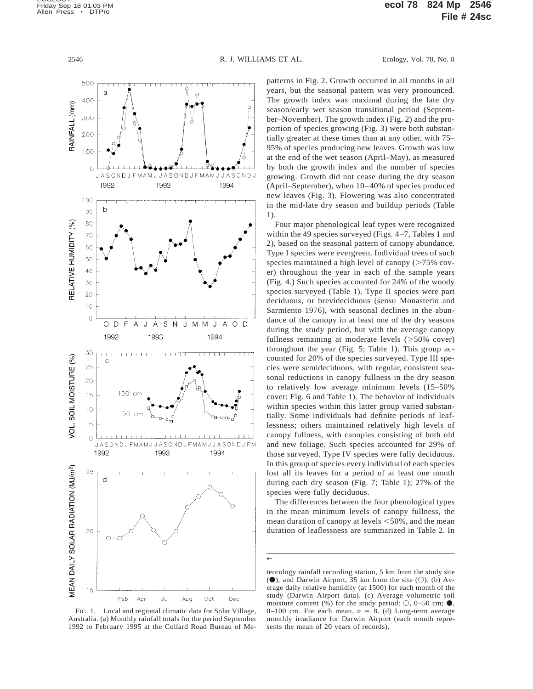

FIG. 1. Local and regional climatic data for Solar Village, Australia. (a) Monthly rainfall totals for the period September 1992 to February 1995 at the Collard Road Bureau of Me-

patterns in Fig. 2. Growth occurred in all months in all years, but the seasonal pattern was very pronounced. The growth index was maximal during the late dry season/early wet season transitional period (September–November). The growth index (Fig. 2) and the proportion of species growing (Fig. 3) were both substantially greater at these times than at any other, with 75– 95% of species producing new leaves. Growth was low at the end of the wet season (April–May), as measured by both the growth index and the number of species growing. Growth did not cease during the dry season (April–September), when 10–40% of species produced new leaves (Fig. 3). Flowering was also concentrated in the mid-late dry season and buildup periods (Table 1).

Four major phenological leaf types were recognized within the 49 species surveyed (Figs. 4–7, Tables 1 and 2), based on the seasonal pattern of canopy abundance. Type I species were evergreen. Individual trees of such species maintained a high level of canopy  $($  >75% cover) throughout the year in each of the sample years (Fig. 4.) Such species accounted for 24% of the woody species surveyed (Table 1). Type II species were part deciduous, or brevideciduous (sensu Monasterio and Sarmiento 1976), with seasonal declines in the abundance of the canopy in at least one of the dry seasons during the study period, but with the average canopy fullness remaining at moderate levels  $(>\frac{50}{%}$  cover) throughout the year (Fig. 5; Table 1). This group accounted for 20% of the species surveyed. Type III species were semideciduous, with regular, consistent seasonal reductions in canopy fullness in the dry season to relatively low average minimum levels (15–50% cover; Fig. 6 and Table 1). The behavior of individuals within species within this latter group varied substantially. Some individuals had definite periods of leaflessness; others maintained relatively high levels of canopy fullness, with canopies consisting of both old and new foliage. Such species accounted for 29% of those surveyed. Type IV species were fully deciduous. In this group of species every individual of each species lost all its leaves for a period of at least one month during each dry season (Fig. 7; Table 1); 27% of the species were fully deciduous.

The differences between the four phenological types in the mean minimum levels of canopy fullness, the mean duration of canopy at levels  $<50\%$ , and the mean duration of leaflessness are summarized in Table 2. In

<sup>←</sup>

teorology rainfall recording station, 5 km from the study site ( $\bullet$ ), and Darwin Airport, 35 km from the site ( $\circ$ ). (b) Average daily relative humidity (at 1500) for each month of the study (Darwin Airport data). (c) Average volumetric soil moisture content  $(\% )$  for the study period:  $\circlearrowright$ , 0–50 cm;  $\bullet$ , 0–100 cm. For each mean,  $n = 8$ . (d) Long-term average monthly irradiance for Darwin Airport (each month represents the mean of 20 years of records).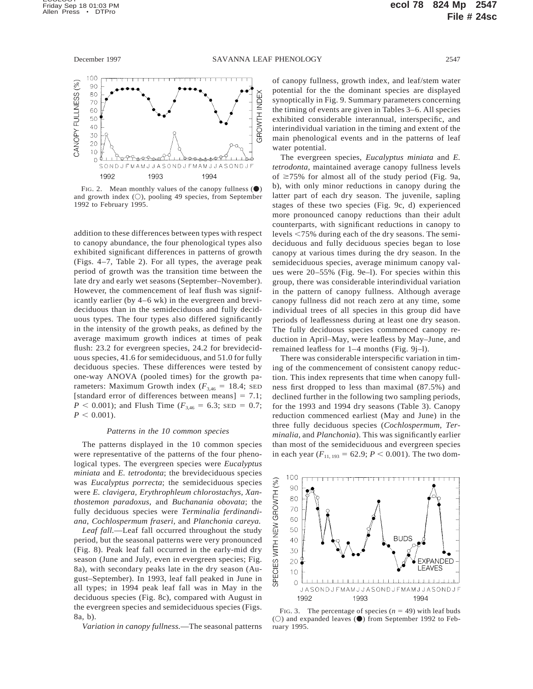

FIG. 2. Mean monthly values of the canopy fullness  $(\bullet)$ and growth index  $(O)$ , pooling 49 species, from September 1992 to February 1995.

addition to these differences between types with respect to canopy abundance, the four phenological types also exhibited significant differences in patterns of growth (Figs. 4–7, Table 2). For all types, the average peak period of growth was the transition time between the late dry and early wet seasons (September–November). However, the commencement of leaf flush was significantly earlier (by 4–6 wk) in the evergreen and brevideciduous than in the semideciduous and fully deciduous types. The four types also differed significantly in the intensity of the growth peaks, as defined by the average maximum growth indices at times of peak flush: 23.2 for evergreen species, 24.2 for brevideciduous species, 41.6 for semideciduous, and 51.0 for fully deciduous species. These differences were tested by one-way ANOVA (pooled times) for the growth parameters: Maximum Growth index  $(F_{3,46} = 18.4;$  SED [standard error of differences between means]  $= 7.1$ ;  $P < 0.001$ ); and Flush Time ( $F_{3,46} = 6.3$ ; SED = 0.7;  $P < 0.001$ ).

# *Patterns in the 10 common species*

The patterns displayed in the 10 common species were representative of the patterns of the four phenological types. The evergreen species were *Eucalyptus miniata* and *E. tetrodonta*; the brevideciduous species was *Eucalyptus porrecta*; the semideciduous species were *E. clavigera, Erythrophleum chlorostachys, Xanthostemon paradoxus,* and *Buchanania obovata*; the fully deciduous species were *Terminalia ferdinandiana, Cochlospermum fraseri,* and *Planchonia careya.*

*Leaf fall.*—Leaf fall occurred throughout the study period, but the seasonal patterns were very pronounced (Fig. 8). Peak leaf fall occurred in the early-mid dry season (June and July, even in evergreen species; Fig. 8a), with secondary peaks late in the dry season (August–September). In 1993, leaf fall peaked in June in all types; in 1994 peak leaf fall was in May in the deciduous species (Fig. 8c), compared with August in the evergreen species and semideciduous species (Figs. 8a, b).

*Variation in canopy fullness.*—The seasonal patterns

of canopy fullness, growth index, and leaf/stem water potential for the the dominant species are displayed synoptically in Fig. 9. Summary parameters concerning the timing of events are given in Tables 3–6. All species exhibited considerable interannual, interspecific, and interindividual variation in the timing and extent of the main phenological events and in the patterns of leaf water potential.

The evergreen species, *Eucalyptus miniata* and *E. tetrodonta,* maintained average canopy fullness levels of  $\geq$ 75% for almost all of the study period (Fig. 9a, b), with only minor reductions in canopy during the latter part of each dry season. The juvenile, sapling stages of these two species (Fig. 9c, d) experienced more pronounced canopy reductions than their adult counterparts, with significant reductions in canopy to levels <75% during each of the dry seasons. The semideciduous and fully deciduous species began to lose canopy at various times during the dry season. In the semideciduous species, average minimum canopy values were 20–55% (Fig. 9e–l). For species within this group, there was considerable interindividual variation in the pattern of canopy fullness. Although average canopy fullness did not reach zero at any time, some individual trees of all species in this group did have periods of leaflessness during at least one dry season. The fully deciduous species commenced canopy reduction in April–May, were leafless by May–June, and remained leafless for 1–4 months (Fig. 9j–l).

There was considerable interspecific variation in timing of the commencement of consistent canopy reduction. This index represents that time when canopy fullness first dropped to less than maximal (87.5%) and declined further in the following two sampling periods, for the 1993 and 1994 dry seasons (Table 3). Canopy reduction commenced earliest (May and June) in the three fully deciduous species (*Cochlospermum, Terminalia,* and *Planchonia*). This was significantly earlier than most of the semideciduous and evergreen species in each year  $(F_{11, 193} = 62.9; P < 0.001)$ . The two dom-



FIG. 3. The percentage of species  $(n = 49)$  with leaf buds ( $\circ$ ) and expanded leaves ( $\bullet$ ) from September 1992 to February 1995.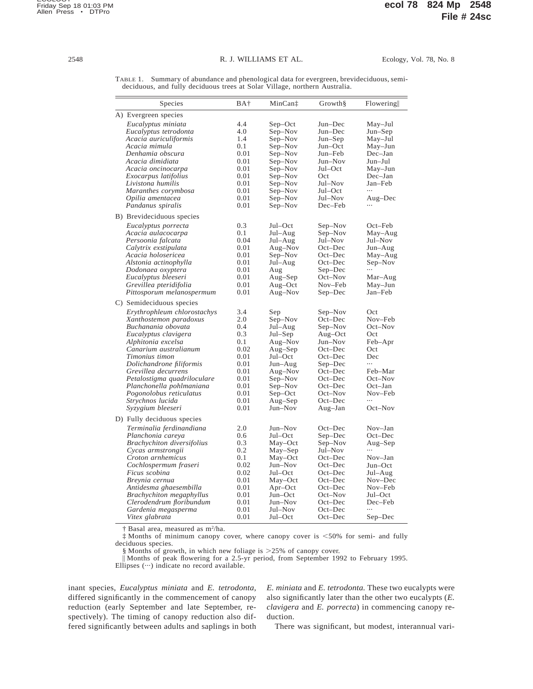TABLE 1. Summary of abundance and phenological data for evergreen, brevideciduous, semideciduous, and fully deciduous trees at Solar Village, northern Australia.

| Species                           | BA†  | MinCan‡   | Growth             | Flowering          |
|-----------------------------------|------|-----------|--------------------|--------------------|
| A) Evergreen species              |      |           |                    |                    |
| Eucalyptus miniata                | 4.4  | $Sep-Oct$ | Jun-Dec            | May-Jul            |
| Eucalyptus tetrodonta             | 4.0  | Sep-Nov   | $Jun-Dec$          | Jun-Sep            |
| Acacia auriculiformis             | 1.4  | Sep-Nov   | $Jun-Sep$          | $May-Jul$          |
| Acacia mimula                     | 0.1  | Sep-Nov   | Jun-Oct            | May-Jun            |
| Denhamia obscura                  | 0.01 | Sep-Nov   | Jun-Feb            | Dec-Jan            |
| Acacia dimidiata                  | 0.01 | Sep-Nov   | Jun-Nov            | Jun-Jul            |
| Acacia oncinocarpa                | 0.01 | Sep–Nov   | Jul–Oct            | May-Jun            |
| Exocarpus latifolius              | 0.01 | Sep–Nov   | Oct                | Dec-Jan            |
| Livistona humilis                 | 0.01 | Sep-Nov   | Jul–Nov            | Jan-Feb            |
| Maranthes corymbosa               | 0.01 | Sep-Nov   | Jul–Oct            | $\cdots$           |
| Opilia amentacea                  | 0.01 | Sep-Nov   | Jul–Nov            | Aug-Dec            |
| Pandanus spiralis                 | 0.01 | Sep–Nov   | Dec–Feb            | .                  |
| B) Brevideciduous species         |      |           |                    |                    |
|                                   | 0.3  | Jul–Oct   |                    | $Oct$ - $Feb$      |
| Eucalyptus porrecta               | 0.1  |           | Sep–Nov            |                    |
| Acacia aulacocarpa                | 0.04 | Jul–Aug   | Sep–Nov<br>Jul–Nov | May-Aug<br>Jul–Nov |
| Persoonia falcata                 | 0.01 | Jul–Aug   | Oct-Dec            |                    |
| Calytrix exstipulata              |      | Aug–Nov   |                    | Jun-Aug            |
| Acacia holosericea                | 0.01 | Sep-Nov   | Oct-Dec            | May-Aug            |
| Alstonia actinophylla             | 0.01 | Jul–Aug   | $Oct-Dec$          | Sep–Nov            |
| Dodonaea oxyptera                 | 0.01 | Aug       | Sep–Dec            |                    |
| Eucalyptus bleeseri               | 0.01 | Aug–Sep   | $Oct$ -Nov         | Mar-Aug            |
| Grevillea pteridifolia            | 0.01 | $Aug-Oct$ | Nov-Feb            | May-Jun<br>Jan-Feb |
| Pittosporum melanospermum         | 0.01 | Aug-Nov   | $Sep-Dec$          |                    |
| C) Semideciduous species          |      |           |                    |                    |
| Erythrophleum chlorostachys       | 3.4  | Sep       | Sep–Nov            | Oct                |
| Xanthostemon paradoxus            | 2.0  | Sep-Nov   | Oct-Dec            | Nov-Feb            |
| Buchanania obovata                | 0.4  | Jul–Aug   | Sep-Nov            | Oct-Nov            |
| Eucalyptus clavigera              | 0.3  | Jul–Sep   | Aug-Oct            | Oct                |
| Alphitonia excelsa                | 0.1  | Aug-Nov   | Jun-Nov            | Feb-Apr            |
| Canarium australianum             | 0.02 | $Aug-Sep$ | Oct-Dec            | Oct                |
| Timonius timon                    | 0.01 | Jul–Oct   | Oct-Dec            | Dec                |
| Dolichandrone filiformis          | 0.01 | Jun-Aug   | Sep-Dec            | $\ddotsc$          |
| Grevillea decurrens               | 0.01 | Aug–Nov   | Oct-Dec            | Feb-Mar            |
| Petalostigma quadriloculare       | 0.01 | Sep-Nov   | $Oct$ -Dec         | Oct-Nov            |
| Planchonella pohlmaniana          | 0.01 | Sep-Nov   | $Oct$ -Dec         | $Oct-Jan$          |
| Pogonolobus reticulatus           | 0.01 | $Sep-Oct$ | Oct-Nov            | Nov-Feb            |
| Strychnos lucida                  | 0.01 | Aug-Sep   | $Oct$ -Dec         |                    |
| Syzygium bleeseri                 | 0.01 | Jun-Nov   | Aug-Jan            | $Oct$ -Nov         |
| D) Fully deciduous species        |      |           |                    |                    |
| Terminalia ferdinandiana          | 2.0  | Jun-Nov   | Oct-Dec            | Nov-Jan            |
| Planchonia careya                 | 0.6  | Jul–Oct   | Sep-Dec            | Oct-Dec            |
| <b>Brachychiton diversifolius</b> | 0.3  | May-Oct   | Sep-Nov            | $Aug-Sep$          |
| Cycas armstrongii                 | 0.2  | May-Sep   | Jul-Nov            | $\cdots$           |
| Croton arnhemicus                 | 0.1  | May-Oct   | $Oct$ -Dec         | $Nov-Jan$          |
| Cochlospermum fraseri             | 0.02 | Jun-Nov   | Oct-Dec            | Jun-Oct            |
| Ficus scobina                     | 0.02 | Jul-Oct   | Oct-Dec            | Jul-Aug            |
| Breynia cernua                    | 0.01 | May-Oct   | $Oct$ -Dec         | Nov-Dec            |
| Antidesma ghaesembilla            | 0.01 | $Apr-Oct$ | Oct-Dec            | Nov-Feb            |
| <b>Brachychiton</b> megaphyllus   | 0.01 | Jun-Oct   | Oct-Nov            | Jul–Oct            |
| Clerodendrum floribundum          | 0.01 | Jun-Nov   | Oct-Dec            | Dec-Feb            |
| Gardenia megasperma               | 0.01 | Jul-Nov   | $Oct$ -Dec         |                    |
| Vitex glabrata                    | 0.01 | Jul–Oct   | $Oct$ -Dec         | Sep-Dec            |

† Basal area, measured as m2/ha.

<sup> $\ddagger$ </sup> Months of minimum canopy cover, where canopy cover is <50% for semi- and fully deciduous species.

§ Months of growth, in which new foliage is  $>25\%$  of canopy cover.

\ Months of peak flowering for a 2.5-yr period, from September 1992 to February 1995.

Ellipses ( $\cdots$ ) indicate no record available.

inant species, *Eucalyptus miniata* and *E. tetrodonta,* differed significantly in the commencement of canopy reduction (early September and late September, respectively). The timing of canopy reduction also differed significantly between adults and saplings in both *E. miniata* and *E. tetrodonta.* These two eucalypts were also significantly later than the other two eucalypts (*E. clavigera* and *E. porrecta*) in commencing canopy reduction.

There was significant, but modest, interannual vari-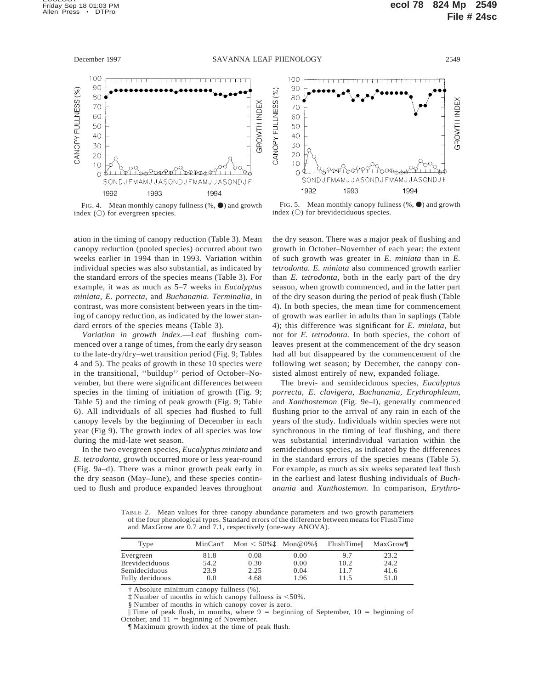

FIG. 4. Mean monthly canopy fullness  $(\% , \bullet)$  and growth index  $(O)$  for evergreen species.

ation in the timing of canopy reduction (Table 3). Mean canopy reduction (pooled species) occurred about two weeks earlier in 1994 than in 1993. Variation within individual species was also substantial, as indicated by the standard errors of the species means (Table 3). For example, it was as much as 5–7 weeks in *Eucalyptus miniata, E. porrecta,* and *Buchanania. Terminalia,* in contrast, was more consistent between years in the timing of canopy reduction, as indicated by the lower standard errors of the species means (Table 3).

*Variation in growth index.*—Leaf flushing commenced over a range of times, from the early dry season to the late-dry/dry–wet transition period (Fig. 9; Tables 4 and 5). The peaks of growth in these 10 species were in the transitional, ''buildup'' period of October–November, but there were significant differences between species in the timing of initiation of growth (Fig. 9; Table 5) and the timing of peak growth (Fig. 9; Table 6). All individuals of all species had flushed to full canopy levels by the beginning of December in each year (Fig 9). The growth index of all species was low during the mid-late wet season.

In the two evergreen species, *Eucalyptus miniata* and *E. tetrodonta,* growth occurred more or less year-round (Fig. 9a–d). There was a minor growth peak early in the dry season (May–June), and these species continued to flush and produce expanded leaves throughout



FIG. 5. Mean monthly canopy fullness  $(\% , \bullet)$  and growth index  $(\bigcirc)$  for brevideciduous species.

the dry season. There was a major peak of flushing and growth in October–November of each year; the extent of such growth was greater in *E. miniata* than in *E. tetrodonta. E. miniata* also commenced growth earlier than *E. tetrodonta,* both in the early part of the dry season, when growth commenced, and in the latter part of the dry season during the period of peak flush (Table 4). In both species, the mean time for commencement of growth was earlier in adults than in saplings (Table 4); this difference was significant for *E. miniata,* but not for *E. tetrodonta.* In both species, the cohort of leaves present at the commencement of the dry season had all but disappeared by the commencement of the following wet season; by December, the canopy consisted almost entirely of new, expanded foliage.

The brevi- and semideciduous species, *Eucalyptus porrecta, E. clavigera, Buchanania, Erythrophleum,* and *Xanthostemon* (Fig. 9e–l), generally commenced flushing prior to the arrival of any rain in each of the years of the study. Individuals within species were not synchronous in the timing of leaf flushing, and there was substantial interindividual variation within the semideciduous species, as indicated by the differences in the standard errors of the species means (Table 5). For example, as much as six weeks separated leaf flush in the earliest and latest flushing individuals of *Buchanania* and *Xanthostemon.* In comparison, *Erythro-*

TABLE 2. Mean values for three canopy abundance parameters and two growth parameters of the four phenological types. Standard errors of the difference between means for FlushTime and MaxGrow are 0.7 and 7.1, respectively (one-way ANOVA).

| Type                  | MinCan <sup>+</sup> | Mon $<$ 50% $\pm$ Mon@0% $\$ |      | FlushTime | MaxGrow |
|-----------------------|---------------------|------------------------------|------|-----------|---------|
| Evergreen             | 81.8                | 0.08                         | 0.00 | 9.7       | 23.2    |
| <b>Brevideciduous</b> | 54.2                | 0.30                         | 0.00 | 10.2      | 24.2    |
| Semideciduous         | 23.9                | 2.25                         | 0.04 | 11.7      | 41.6    |
| Fully deciduous       | 0.0                 | 4.68                         | 1.96 | 11.5      | 51.0    |

† Absolute minimum canopy fullness (%).

Number of months in which canopy fullness is  $<50\%$ .

§ Number of months in which canopy cover is zero.

Time of peak flush, in months, where  $9 =$  beginning of September,  $10 =$  beginning of October, and  $11 =$  beginning of November.

¶ Maximum growth index at the time of peak flush.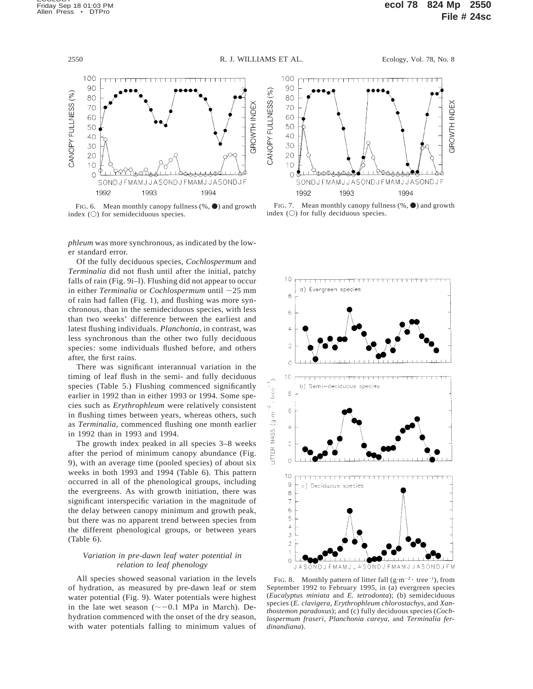

FIG. 6. Mean monthly canopy fullness  $(\% , \bullet)$  and growth index  $(O)$  for semideciduous species.

*phleum* was more synchronous, as indicated by the lower standard error.

Of the fully deciduous species, *Cochlospermum* and *Terminalia* did not flush until after the initial, patchy falls of rain (Fig. 9i–l). Flushing did not appear to occur in either *Terminalia* or *Cochlospermum* until  $\sim$ 25 mm of rain had fallen (Fig. 1), and flushing was more synchronous, than in the semideciduous species, with less than two weeks' difference between the earliest and latest flushing individuals. *Planchonia,* in contrast, was less synchronous than the other two fully deciduous species: some individuals flushed before, and others after, the first rains.

There was significant interannual variation in the timing of leaf flush in the semi- and fully deciduous species (Table 5.) Flushing commenced significantly earlier in 1992 than in either 1993 or 1994. Some species such as *Erythrophleum* were relatively consistent in flushing times between years, whereas others, such as *Terminalia,* commenced flushing one month earlier in 1992 than in 1993 and 1994.

The growth index peaked in all species 3–8 weeks after the period of minimum canopy abundance (Fig. 9), with an average time (pooled species) of about six weeks in both 1993 and 1994 (Table 6). This pattern occurred in all of the phenological groups, including the evergreens. As with growth initiation, there was significant interspecific variation in the magnitude of the delay between canopy minimum and growth peak, but there was no apparent trend between species from the different phenological groups, or between years (Table 6).

# *Variation in pre-dawn leaf water potential in relation to leaf phenology*

All species showed seasonal variation in the levels of hydration, as measured by pre-dawn leaf or stem water potential (Fig. 9). Water potentials were highest in the late wet season  $(\sim -0.1$  MPa in March). Dehydration commenced with the onset of the dry season, with water potentials falling to minimum values of



FIG. 7. Mean monthly canopy fullness  $(\%$ ,  $\bullet)$  and growth index  $(O)$  for fully deciduous species.



FIG. 8. Monthly pattern of litter fall  $(g \cdot m^{-2} \cdot tree^{-1})$ , from September 1992 to February 1995, in (a) evergreen species (*Eucalyptus miniata* and *E. tetrodonta*); (b) semideciduous species (*E. clavigera, Erythrophleum chlorostachys,* and *Xanthostemon paradoxus*); and (c) fully deciduous species (*Cochlospermum fraseri, Planchonia careya,* and *Terminalia ferdinandiana*).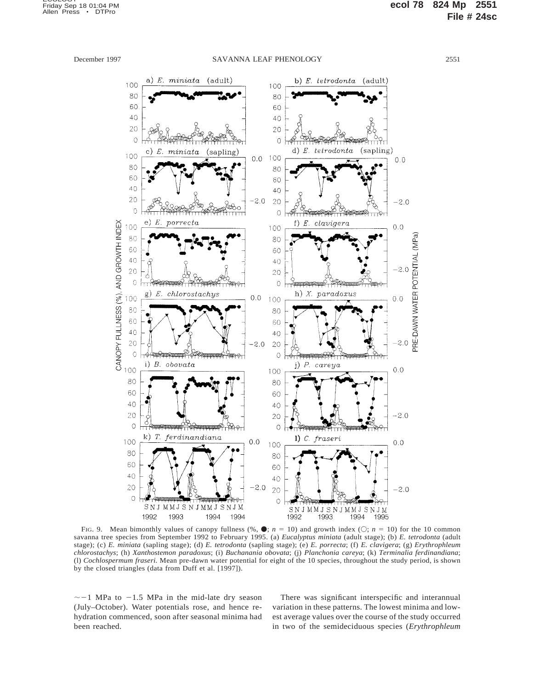

FIG. 9. Mean bimonthly values of canopy fullness (%,  $\bullet$ ; *n* = 10) and growth index ( $\circ$ ; *n* = 10) for the 10 common savanna tree species from September 1992 to February 1995. (a) *Eucalyptus miniata* (adult stage); (b) *E. tetrodonta* (adult stage); (c) *E. miniata* (sapling stage); (d) *E. tetrodonta* (sapling stage); (e) *E. porrecta*; (f) *E. clavigera*; (g) *Erythrophleum chlorostachys*; (h) *Xanthostemon paradoxus*; (i) *Buchanania obovata*; (j) *Planchonia careya*; (k) *Terminalia ferdinandiana*; (l) *Cochlospermum fraseri.* Mean pre-dawn water potential for eight of the 10 species, throughout the study period, is shown by the closed triangles (data from Duff et al. [1997]).

 $\sim$  -1 MPa to -1.5 MPa in the mid-late dry season (July–October). Water potentials rose, and hence rehydration commenced, soon after seasonal minima had been reached.

There was significant interspecific and interannual variation in these patterns. The lowest minima and lowest average values over the course of the study occurred in two of the semideciduous species (*Erythrophleum*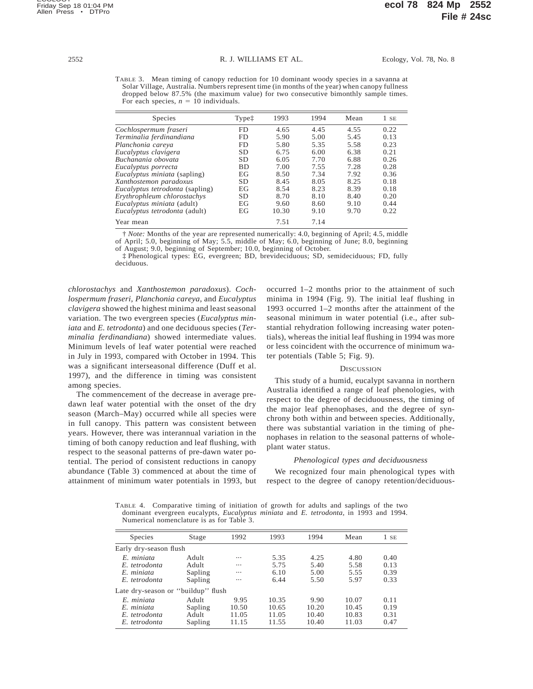TABLE 3. Mean timing of canopy reduction for 10 dominant woody species in a savanna at Solar Village, Australia. Numbers represent time (in months of the year) when canopy fullness dropped below 87.5% (the maximum value) for two consecutive bimonthly sample times. For each species,  $n = 10$  individuals.

| Species                             | Typet     | 1993  | 1994 | Mean | $1$ SE |
|-------------------------------------|-----------|-------|------|------|--------|
| Cochlospermum fraseri               | FD        | 4.65  | 4.45 | 4.55 | 0.22   |
| Terminalia ferdinandiana            | FD        | 5.90  | 5.00 | 5.45 | 0.13   |
| Planchonia careya                   | FD        | 5.80  | 5.35 | 5.58 | 0.23   |
| Eucalyptus clavigera                | <b>SD</b> | 6.75  | 6.00 | 6.38 | 0.21   |
| Buchanania obovata                  | <b>SD</b> | 6.05  | 7.70 | 6.88 | 0.26   |
| Eucalyptus porrecta                 | <b>BD</b> | 7.00  | 7.55 | 7.28 | 0.28   |
| <i>Eucalyptus miniata</i> (sapling) | EG        | 8.50  | 7.34 | 7.92 | 0.36   |
| Xanthostemon paradoxus              | <b>SD</b> | 8.45  | 8.05 | 8.25 | 0.18   |
| Eucalyptus tetrodonta (sapling)     | EG        | 8.54  | 8.23 | 8.39 | 0.18   |
| Erythrophleum chlorostachys         | <b>SD</b> | 8.70  | 8.10 | 8.40 | 0.20   |
| Eucalyptus miniata (adult)          | EG        | 9.60  | 8.60 | 9.10 | 0.44   |
| Eucalyptus tetrodonta (adult)       | EG        | 10.30 | 9.10 | 9.70 | 0.22   |
| Year mean                           |           | 7.51  | 7.14 |      |        |

† *Note:* Months of the year are represented numerically: 4.0, beginning of April; 4.5, middle of April; 5.0, beginning of May; 5.5, middle of May; 6.0, beginning of June; 8.0, beginning of August; 9.0, beginning of September; 10.0, beginning of October.

‡ Phenological types: EG, evergreen; BD, brevideciduous; SD, semideciduous; FD, fully deciduous.

*chlorostachys* and *Xanthostemon paradoxus*). *Cochlospermum fraseri, Planchonia careya,* and *Eucalyptus clavigera* showed the highest minima and least seasonal variation. The two evergreen species (*Eucalyptus miniata* and *E. tetrodonta*) and one deciduous species (*Terminalia ferdinandiana*) showed intermediate values. Minimum levels of leaf water potential were reached in July in 1993, compared with October in 1994. This was a significant interseasonal difference (Duff et al. 1997), and the difference in timing was consistent among species.

The commencement of the decrease in average predawn leaf water potential with the onset of the dry season (March–May) occurred while all species were in full canopy. This pattern was consistent between years. However, there was interannual variation in the timing of both canopy reduction and leaf flushing, with respect to the seasonal patterns of pre-dawn water potential. The period of consistent reductions in canopy abundance (Table 3) commenced at about the time of attainment of minimum water potentials in 1993, but occurred 1–2 months prior to the attainment of such minima in 1994 (Fig. 9). The initial leaf flushing in 1993 occurred 1–2 months after the attainment of the seasonal minimum in water potential (i.e., after substantial rehydration following increasing water potentials), whereas the initial leaf flushing in 1994 was more or less coincident with the occurrence of minimum water potentials (Table 5; Fig. 9).

## **DISCUSSION**

This study of a humid, eucalypt savanna in northern Australia identified a range of leaf phenologies, with respect to the degree of deciduousness, the timing of the major leaf phenophases, and the degree of synchrony both within and between species. Additionally, there was substantial variation in the timing of phenophases in relation to the seasonal patterns of wholeplant water status.

### *Phenological types and deciduousness*

We recognized four main phenological types with respect to the degree of canopy retention/deciduous-

TABLE 4. Comparative timing of initiation of growth for adults and saplings of the two dominant evergreen eucalypts, *Eucalyptus miniata* and *E. tetrodonta,* in 1993 and 1994. Numerical nomenclature is as for Table 3.

| Species                            | Stage   | 1992     | 1993  | 1994  | Mean  | 1 SE |  |  |
|------------------------------------|---------|----------|-------|-------|-------|------|--|--|
| Early dry-season flush             |         |          |       |       |       |      |  |  |
| $E$ miniata                        | Adult   | $\cdots$ | 5.35  | 4.25  | 4.80  | 0.40 |  |  |
| E tetrodonta                       | Adult   | $\cdots$ | 5.75  | 5.40  | 5.58  | 0.13 |  |  |
| E miniata                          | Sapling | $\cdots$ | 6.10  | 5.00  | 5.55  | 0.39 |  |  |
| E. tetrodonta                      | Sapling | $\cdots$ | 6.44  | 5.50  | 5.97  | 0.33 |  |  |
| Late dry-season or "buildup" flush |         |          |       |       |       |      |  |  |
| $E$ miniata                        | Adult   | 9.95     | 10.35 | 9.90  | 10.07 | 0.11 |  |  |
| E miniata                          | Sapling | 10.50    | 10.65 | 10.20 | 10.45 | 0.19 |  |  |
| E. tetrodonta                      | Adult   | 11.05    | 11.05 | 10.40 | 10.83 | 0.31 |  |  |
| E. tetrodonta                      | Sapling | 11.15    | 11.55 | 10.40 | 11.03 | 0.47 |  |  |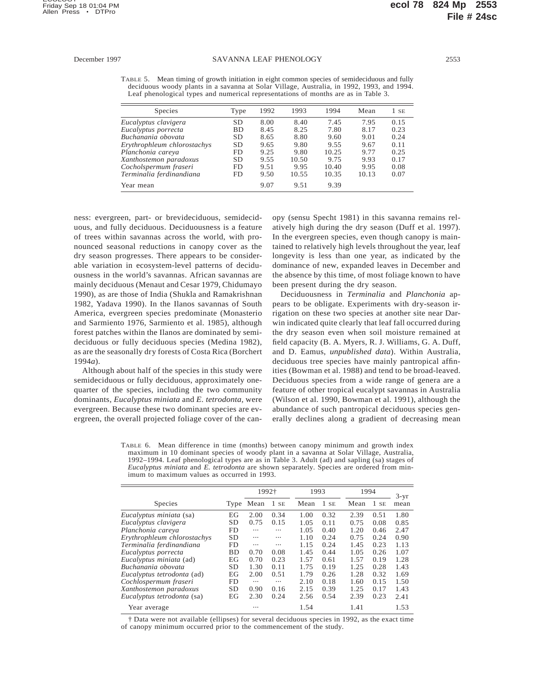TABLE 5. Mean timing of growth initiation in eight common species of semideciduous and fully deciduous woody plants in a savanna at Solar Village, Australia, in 1992, 1993, and 1994. Leaf phenological types and numerical representations of months are as in Table 3.

| <b>Species</b>              | Type      | 1992 | 1993  | 1994  | Mean  | $1$ SE |
|-----------------------------|-----------|------|-------|-------|-------|--------|
| Eucalyptus clavigera        | SD        | 8.00 | 8.40  | 7.45  | 7.95  | 0.15   |
| Eucalyptus porrecta         | <b>BD</b> | 8.45 | 8.25  | 7.80  | 8.17  | 0.23   |
| Buchanania obovata          | <b>SD</b> | 8.65 | 8.80  | 9.60  | 9.01  | 0.24   |
| Erythrophleum chlorostachys | <b>SD</b> | 9.65 | 9.80  | 9.55  | 9.67  | 0.11   |
| Planchonia careya           | FD.       | 9.25 | 9.80  | 10.25 | 9.77  | 0.25   |
| Xanthostemon paradoxus      | SD        | 9.55 | 10.50 | 9.75  | 9.93  | 0.17   |
| Cocholspermum fraseri       | FD.       | 9.51 | 9.95  | 10.40 | 9.95  | 0.08   |
| Terminalia ferdinandiana    | FD        | 9.50 | 10.55 | 10.35 | 10.13 | 0.07   |
| Year mean                   |           | 9.07 | 9.51  | 9.39  |       |        |

ness: evergreen, part- or brevideciduous, semideciduous, and fully deciduous. Deciduousness is a feature of trees within savannas across the world, with pronounced seasonal reductions in canopy cover as the dry season progresses. There appears to be considerable variation in ecosystem-level patterns of deciduousness in the world's savannas. African savannas are mainly deciduous (Menaut and Cesar 1979, Chidumayo 1990), as are those of India (Shukla and Ramakrishnan 1982, Yadava 1990). In the Ilanos savannas of South America, evergreen species predominate (Monasterio and Sarmiento 1976, Sarmiento et al. 1985), although forest patches within the Ilanos are dominated by semideciduous or fully deciduous species (Medina 1982), as are the seasonally dry forests of Costa Rica (Borchert 1994*a*).

Although about half of the species in this study were semideciduous or fully deciduous, approximately onequarter of the species, including the two community dominants, *Eucalyptus miniata* and *E. tetrodonta,* were evergreen. Because these two dominant species are evergreen, the overall projected foliage cover of the canopy (sensu Specht 1981) in this savanna remains relatively high during the dry season (Duff et al. 1997). In the evergreen species, even though canopy is maintained to relatively high levels throughout the year, leaf longevity is less than one year, as indicated by the dominance of new, expanded leaves in December and the absence by this time, of most foliage known to have been present during the dry season.

Deciduousness in *Terminalia* and *Planchonia* appears to be obligate. Experiments with dry-season irrigation on these two species at another site near Darwin indicated quite clearly that leaf fall occurred during the dry season even when soil moisture remained at field capacity (B. A. Myers, R. J. Williams, G. A. Duff, and D. Eamus, *unpublished data*). Within Australia, deciduous tree species have mainly pantropical affinities (Bowman et al. 1988) and tend to be broad-leaved. Deciduous species from a wide range of genera are a feature of other tropical eucalypt savannas in Australia (Wilson et al. 1990, Bowman et al. 1991), although the abundance of such pantropical deciduous species generally declines along a gradient of decreasing mean

TABLE 6. Mean difference in time (months) between canopy minimum and growth index maximum in 10 dominant species of woody plant in a savanna at Solar Village, Australia, 1992–1994. Leaf phenological types are as in Table 3. Adult (ad) and sapling (sa) stages of *Eucalyptus miniata* and *E. tetrodonta* are shown separately. Species are ordered from minimum to maximum values as occurred in 1993.

|                             |           | 1992†    |          |      | 1993 |      | 1994   |                |
|-----------------------------|-----------|----------|----------|------|------|------|--------|----------------|
| Species                     | Type      | Mean     | 1SE      | Mean | 1SE  | Mean | $1$ SE | $3-yr$<br>mean |
| Eucalyptus miniata (sa)     | EG        | 2.00     | 0.34     | 1.00 | 0.32 | 2.39 | 0.51   | 1.80           |
| Eucalyptus clavigera        | <b>SD</b> | 0.75     | 0.15     | 1.05 | 0.11 | 0.75 | 0.08   | 0.85           |
| Planchonia careya           | FD        |          | $\cdots$ | 1.05 | 0.40 | 1.20 | 0.46   | 2.47           |
| Erythrophleum chlorostachys | <b>SD</b> | $\cdots$ |          | 1.10 | 0.24 | 0.75 | 0.24   | 0.90           |
| Terminalia ferdinandiana    | FD        | $\cdots$ | $\cdots$ | 1.15 | 0.24 | 1.45 | 0.23   | 1.13           |
| Eucalyptus porrecta         | <b>BD</b> | 0.70     | 0.08     | 1.45 | 0.44 | 1.05 | 0.26   | 1.07           |
| Eucalyptus miniata (ad)     | EG        | 0.70     | 0.23     | 1.57 | 0.61 | 1.57 | 0.19   | 1.28           |
| Buchanania obovata          | <b>SD</b> | 1.30     | 0.11     | 1.75 | 0.19 | 1.25 | 0.28   | 1.43           |
| Eucalyptus tetrodonta (ad)  | EG        | 2.00     | 0.51     | 1.79 | 0.26 | 1.28 | 0.32   | 1.69           |
| Cochlospermum fraseri       | FD        | $\cdots$ | $\cdots$ | 2.10 | 0.18 | 1.60 | 0.15   | 1.50           |
| Xanthostemon paradoxus      | <b>SD</b> | 0.90     | 0.16     | 2.15 | 0.39 | 1.25 | 0.17   | 1.43           |
| Eucalyptus tetrodonta (sa)  | EG        | 2.30     | 0.24     | 2.56 | 0.54 | 2.39 | 0.23   | 2.41           |
| Year average                |           |          |          | 1.54 |      | 1.41 |        | 1.53           |

† Data were not available (ellipses) for several deciduous species in 1992, as the exact time of canopy minimum occurred prior to the commencement of the study.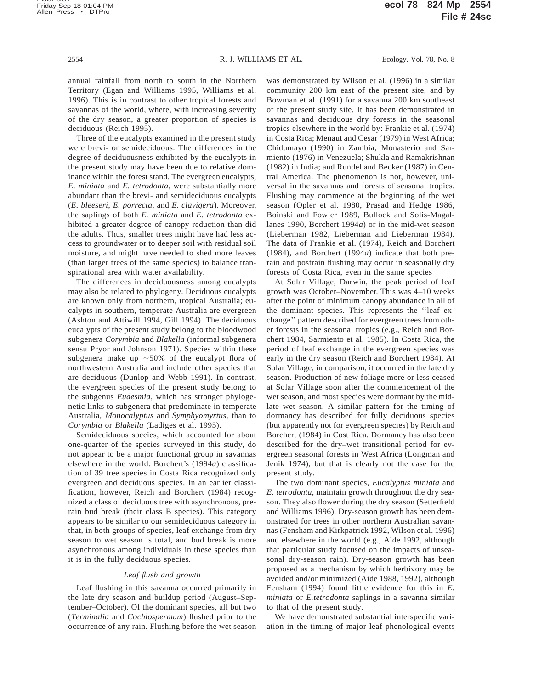annual rainfall from north to south in the Northern Territory (Egan and Williams 1995, Williams et al. 1996). This is in contrast to other tropical forests and savannas of the world, where, with increasing severity of the dry season, a greater proportion of species is deciduous (Reich 1995).

Three of the eucalypts examined in the present study were brevi- or semideciduous. The differences in the degree of deciduousness exhibited by the eucalypts in the present study may have been due to relative dominance within the forest stand. The evergreen eucalypts, *E. miniata* and *E. tetrodonta,* were substantially more abundant than the brevi- and semideciduous eucalypts (*E. bleeseri, E. porrecta,* and *E. clavigera*). Moreover, the saplings of both *E. miniata* and *E. tetrodonta* exhibited a greater degree of canopy reduction than did the adults. Thus, smaller trees might have had less access to groundwater or to deeper soil with residual soil moisture, and might have needed to shed more leaves (than larger trees of the same species) to balance transpirational area with water availability.

The differences in deciduousness among eucalypts may also be related to phylogeny. Deciduous eucalypts are known only from northern, tropical Australia; eucalypts in southern, temperate Australia are evergreen (Ashton and Attiwill 1994, Gill 1994). The deciduous eucalypts of the present study belong to the bloodwood subgenera *Corymbia* and *Blakella* (informal subgenera sensu Pryor and Johnson 1971). Species within these subgenera make up  $\sim$  50% of the eucalypt flora of northwestern Australia and include other species that are deciduous (Dunlop and Webb 1991). In contrast, the evergreen species of the present study belong to the subgenus *Eudesmia,* which has stronger phylogenetic links to subgenera that predominate in temperate Australia, *Monocalyptus* and *Symphyomyrtus,* than to *Corymbia* or *Blakella* (Ladiges et al. 1995).

Semideciduous species, which accounted for about one-quarter of the species surveyed in this study, do not appear to be a major functional group in savannas elsewhere in the world. Borchert's (1994*a*) classification of 39 tree species in Costa Rica recognized only evergreen and deciduous species. In an earlier classification, however, Reich and Borchert (1984) recognized a class of deciduous tree with asynchronous, prerain bud break (their class B species). This category appears to be similar to our semideciduous category in that, in both groups of species, leaf exchange from dry season to wet season is total, and bud break is more asynchronous among individuals in these species than it is in the fully deciduous species.

### *Leaf flush and growth*

Leaf flushing in this savanna occurred primarily in the late dry season and buildup period (August–September–October). Of the dominant species, all but two (*Terminalia* and *Cochlospermum*) flushed prior to the occurrence of any rain. Flushing before the wet season

was demonstrated by Wilson et al. (1996) in a similar community 200 km east of the present site, and by Bowman et al. (1991) for a savanna 200 km southeast of the present study site. It has been demonstrated in savannas and deciduous dry forests in the seasonal tropics elsewhere in the world by: Frankie et al. (1974) in Costa Rica; Menaut and Cesar (1979) in West Africa; Chidumayo (1990) in Zambia; Monasterio and Sarmiento (1976) in Venezuela; Shukla and Ramakrishnan (1982) in India; and Rundel and Becker (1987) in Central America. The phenomenon is not, however, universal in the savannas and forests of seasonal tropics. Flushing may commence at the beginning of the wet season (Opler et al. 1980, Prasad and Hedge 1986, Boinski and Fowler 1989, Bullock and Solis-Magallanes 1990, Borchert 1994*a*) or in the mid-wet season (Lieberman 1982, Lieberman and Lieberman 1984). The data of Frankie et al. (1974), Reich and Borchert (1984), and Borchert (1994*a*) indicate that both prerain and postrain flushing may occur in seasonally dry forests of Costa Rica, even in the same species

At Solar Village, Darwin, the peak period of leaf growth was October–November. This was 4–10 weeks after the point of minimum canopy abundance in all of the dominant species. This represents the ''leaf exchange'' pattern described for evergreen trees from other forests in the seasonal tropics (e.g., Reich and Borchert 1984, Sarmiento et al. 1985). In Costa Rica, the period of leaf exchange in the evergreen species was early in the dry season (Reich and Borchert 1984). At Solar Village, in comparison, it occurred in the late dry season. Production of new foliage more or less ceased at Solar Village soon after the commencement of the wet season, and most species were dormant by the midlate wet season. A similar pattern for the timing of dormancy has described for fully deciduous species (but apparently not for evergreen species) by Reich and Borchert (1984) in Cost Rica. Dormancy has also been described for the dry–wet transitional period for evergreen seasonal forests in West Africa (Longman and Jenik 1974), but that is clearly not the case for the present study.

The two dominant species, *Eucalyptus miniata* and *E. tetrodonta,* maintain growth throughout the dry season. They also flower during the dry season (Setterfield and Williams 1996). Dry-season growth has been demonstrated for trees in other northern Australian savannas (Fensham and Kirkpatrick 1992, Wilson et al. 1996) and elsewhere in the world (e.g., Aide 1992, although that particular study focused on the impacts of unseasonal dry-season rain). Dry-season growth has been proposed as a mechanism by which herbivory may be avoided and/or minimized (Aide 1988, 1992), although Fensham (1994) found little evidence for this in *E. miniata* or *E.tetrodonta* saplings in a savanna similar to that of the present study.

We have demonstrated substantial interspecific variation in the timing of major leaf phenological events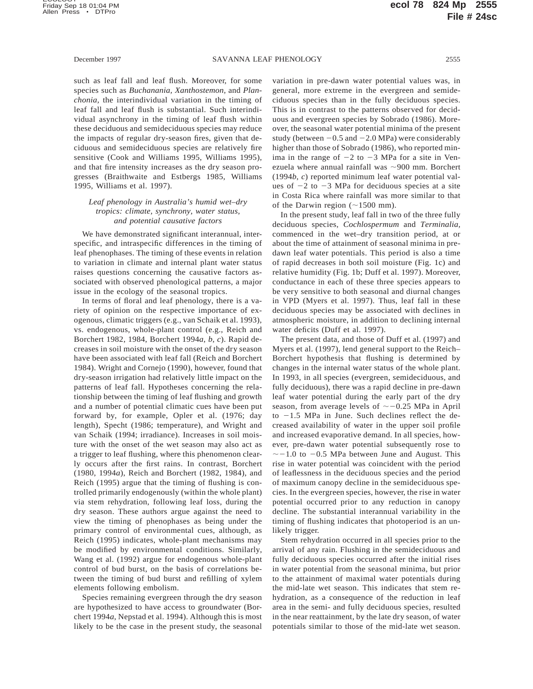such as leaf fall and leaf flush. Moreover, for some species such as *Buchanania, Xanthostemon,* and *Planchonia,* the interindividual variation in the timing of leaf fall and leaf flush is substantial. Such interindividual asynchrony in the timing of leaf flush within these deciduous and semideciduous species may reduce the impacts of regular dry-season fires, given that deciduous and semideciduous species are relatively fire sensitive (Cook and Williams 1995, Williams 1995), and that fire intensity increases as the dry season progresses (Braithwaite and Estbergs 1985, Williams 1995, Williams et al. 1997).

# *Leaf phenology in Australia's humid wet–dry tropics: climate, synchrony, water status, and potential causative factors*

We have demonstrated significant interannual, interspecific, and intraspecific differences in the timing of leaf phenophases. The timing of these events in relation to variation in climate and internal plant water status raises questions concerning the causative factors associated with observed phenological patterns, a major issue in the ecology of the seasonal tropics.

In terms of floral and leaf phenology, there is a variety of opinion on the respective importance of exogenous, climatic triggers (e.g., van Schaik et al. 1993), vs. endogenous, whole-plant control (e.g., Reich and Borchert 1982, 1984, Borchert 1994*a*, *b*, *c*). Rapid decreases in soil moisture with the onset of the dry season have been associated with leaf fall (Reich and Borchert 1984). Wright and Cornejo (1990), however, found that dry-season irrigation had relatively little impact on the patterns of leaf fall. Hypotheses concerning the relationship between the timing of leaf flushing and growth and a number of potential climatic cues have been put forward by, for example, Opler et al. (1976; day length), Specht (1986; temperature), and Wright and van Schaik (1994; irradiance). Increases in soil moisture with the onset of the wet season may also act as a trigger to leaf flushing, where this phenomenon clearly occurs after the first rains. In contrast, Borchert (1980, 1994*a*), Reich and Borchert (1982, 1984), and Reich (1995) argue that the timing of flushing is controlled primarily endogenously (within the whole plant) via stem rehydration, following leaf loss, during the dry season. These authors argue against the need to view the timing of phenophases as being under the primary control of environmental cues, although, as Reich (1995) indicates, whole-plant mechanisms may be modified by environmental conditions. Similarly, Wang et al. (1992) argue for endogenous whole-plant control of bud burst, on the basis of correlations between the timing of bud burst and refilling of xylem elements following embolism.

Species remaining evergreen through the dry season are hypothesized to have access to groundwater (Borchert 1994*a*, Nepstad et al. 1994). Although this is most likely to be the case in the present study, the seasonal

variation in pre-dawn water potential values was, in general, more extreme in the evergreen and semideciduous species than in the fully deciduous species. This is in contrast to the patterns observed for deciduous and evergreen species by Sobrado (1986). Moreover, the seasonal water potential minima of the present study (between  $-0.5$  and  $-2.0$  MPa) were considerably higher than those of Sobrado (1986), who reported minima in the range of  $-2$  to  $-3$  MPa for a site in Venezuela where annual rainfall was  $\sim$ 900 mm. Borchert (1994*b*, *c*) reported minimum leaf water potential values of  $-2$  to  $-3$  MPa for deciduous species at a site in Costa Rica where rainfall was more similar to that of the Darwin region  $(\sim 1500 \text{ mm})$ .

In the present study, leaf fall in two of the three fully deciduous species, *Cochlospermum* and *Terminalia,* commenced in the wet–dry transition period, at or about the time of attainment of seasonal minima in predawn leaf water potentials. This period is also a time of rapid decreases in both soil moisture (Fig. 1c) and relative humidity (Fig. 1b; Duff et al. 1997). Moreover, conductance in each of these three species appears to be very sensitive to both seasonal and diurnal changes in VPD (Myers et al. 1997). Thus, leaf fall in these deciduous species may be associated with declines in atmospheric moisture, in addition to declining internal water deficits (Duff et al. 1997).

The present data, and those of Duff et al. (1997) and Myers et al. (1997), lend general support to the Reich– Borchert hypothesis that flushing is determined by changes in the internal water status of the whole plant. In 1993, in all species (evergreen, semideciduous, and fully deciduous), there was a rapid decline in pre-dawn leaf water potential during the early part of the dry season, from average levels of  $\sim$  -0.25 MPa in April to  $-1.5$  MPa in June. Such declines reflect the decreased availability of water in the upper soil profile and increased evaporative demand. In all species, however, pre-dawn water potential subsequently rose to  $\sim$  -1.0 to -0.5 MPa between June and August. This rise in water potential was coincident with the period of leaflessness in the deciduous species and the period of maximum canopy decline in the semideciduous species. In the evergreen species, however, the rise in water potential occurred prior to any reduction in canopy decline. The substantial interannual variability in the timing of flushing indicates that photoperiod is an unlikely trigger.

Stem rehydration occurred in all species prior to the arrival of any rain. Flushing in the semideciduous and fully deciduous species occurred after the initial rises in water potential from the seasonal minima, but prior to the attainment of maximal water potentials during the mid-late wet season. This indicates that stem rehydration, as a consequence of the reduction in leaf area in the semi- and fully deciduous species, resulted in the near reattainment, by the late dry season, of water potentials similar to those of the mid-late wet season.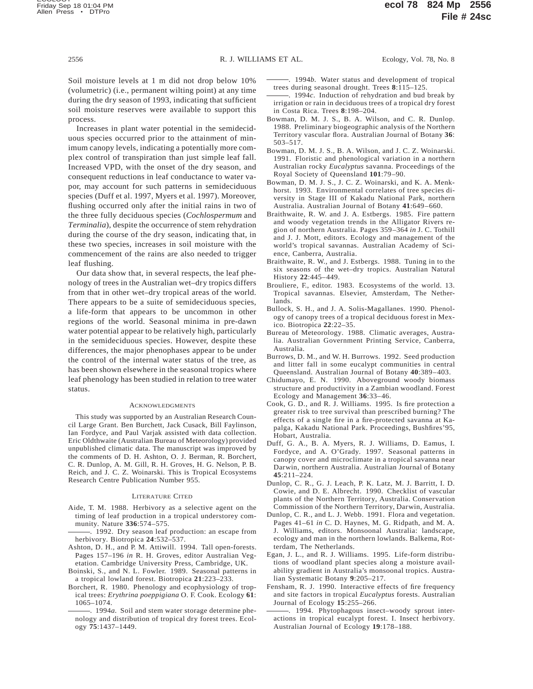Soil moisture levels at 1 m did not drop below 10% (volumetric) (i.e., permanent wilting point) at any time during the dry season of 1993, indicating that sufficient soil moisture reserves were available to support this process.

Increases in plant water potential in the semideciduous species occurred prior to the attainment of minimum canopy levels, indicating a potentially more complex control of transpiration than just simple leaf fall. Increased VPD, with the onset of the dry season, and consequent reductions in leaf conductance to water vapor, may account for such patterns in semideciduous species (Duff et al. 1997, Myers et al. 1997). Moreover, flushing occurred only after the initial rains in two of the three fully deciduous species (*Cochlospermum* and *Terminalia*), despite the occurrence of stem rehydration during the course of the dry season, indicating that, in these two species, increases in soil moisture with the commencement of the rains are also needed to trigger leaf flushing.

Our data show that, in several respects, the leaf phenology of trees in the Australian wet–dry tropics differs from that in other wet–dry tropical areas of the world. There appears to be a suite of semideciduous species, a life-form that appears to be uncommon in other regions of the world. Seasonal minima in pre-dawn water potential appear to be relatively high, particularly in the semideciduous species. However, despite these differences, the major phenophases appear to be under the control of the internal water status of the tree, as has been shown elsewhere in the seasonal tropics where leaf phenology has been studied in relation to tree water status.

#### **ACKNOWLEDGMENTS**

This study was supported by an Australian Research Council Large Grant. Ben Burchett, Jack Cusack, Bill Faylinson, Ian Fordyce, and Paul Varjak assisted with data collection. Eric Oldthwaite (Australian Bureau of Meteorology) provided unpublished climatic data. The manuscript was improved by the comments of D. H. Ashton, O. J. Berman, R. Borchert, C. R. Dunlop, A. M. Gill, R. H. Groves, H. G. Nelson, P. B. Reich, and J. C. Z. Woinarski. This is Tropical Ecosystems Research Centre Publication Number 955.

#### LITERATURE CITED

- Aide, T. M. 1988. Herbivory as a selective agent on the timing of leaf production in a tropical understorey community. Nature **336**:574–575.
- . 1992. Dry season leaf production: an escape from herbivory. Biotropica **24**:532–537.
- Ashton, D. H., and P. M. Attiwill. 1994. Tall open-forests. Pages 157–196 *in* R. H. Groves, editor Australian Vegetation. Cambridge University Press, Cambridge, UK.
- Boinski, S., and N. L. Fowler. 1989. Seasonal patterns in a tropical lowland forest. Biotropica **21**:223–233.
- Borchert, R. 1980. Phenology and ecophysiology of tropical trees: *Erythrina poeppigiana* O. F. Cook. Ecology **61**: 1065–1074.
- . 1994*a.* Soil and stem water storage determine phenology and distribution of tropical dry forest trees. Ecology **75**:1437–1449.
- . 1994*b.* Water status and development of tropical trees during seasonal drought. Trees **8**:115–125.
- . 1994*c.* Induction of rehydration and bud break by irrigation or rain in deciduous trees of a tropical dry forest in Costa Rica. Trees **8**:198–204.
- Bowman, D. M. J. S., B. A. Wilson, and C. R. Dunlop. 1988. Preliminary biogeographic analysis of the Northern Territory vascular flora. Australian Journal of Botany **36**: 503–517.
- Bowman, D. M. J. S., B. A. Wilson, and J. C. Z. Woinarski. 1991. Floristic and phenological variation in a northern Australian rocky *Eucalyptus* savanna. Proceedings of the Royal Society of Queensland **101**:79–90.
- Bowman, D. M. J. S., J. C. Z. Woinarski, and K. A. Menkhorst. 1993. Environmental correlates of tree species diversity in Stage III of Kakadu National Park, northern Australia. Australian Journal of Botany **41**:649–660.
- Braithwaite, R. W. and J. A. Estbergs. 1985. Fire pattern and woody vegetation trends in the Alligator Rivers region of northern Australia. Pages 359–364 *in* J. C. Tothill and J. J. Mott, editors. Ecology and management of the world's tropical savannas. Australian Academy of Science, Canberra, Australia.
- Braithwaite, R. W., and J. Estbergs. 1988. Tuning in to the six seasons of the wet–dry tropics. Australian Natural History **22**:445–449.
- Brouliere, F., editor. 1983. Ecosystems of the world. 13. Tropical savannas. Elsevier, Amsterdam, The Netherlands.
- Bullock, S. H., and J. A. Solis-Magallanes. 1990. Phenology of canopy trees of a tropical deciduous forest in Mexico. Biotropica **22**:22–35.
- Bureau of Meteorology. 1988. Climatic averages, Australia. Australian Government Printing Service, Canberra, Australia.
- Burrows, D. M., and W. H. Burrows. 1992. Seed production and litter fall in some eucalypt communities in central Queensland. Australian Journal of Botany **40**:389–403.
- Chidumayo, E. N. 1990. Aboveground woody biomass structure and productivity in a Zambian woodland. Forest Ecology and Management **36**:33–46.
- Cook, G. D., and R. J. Williams. 1995. Is fire protection a greater risk to tree survival than prescribed burning? The effects of a single fire in a fire-protected savanna at Kapalga, Kakadu National Park. Proceedings, Bushfires'95, Hobart, Australia.
- Duff, G. A., B. A. Myers, R. J. Williams, D. Eamus, I. Fordyce, and A. O'Grady. 1997. Seasonal patterns in canopy cover and microclimate in a tropical savanna near Darwin, northern Australia. Australian Journal of Botany **45**:211–224.
- Dunlop, C. R., G. J. Leach, P. K. Latz, M. J. Barritt, I. D. Cowie, and D. E. Albrecht. 1990. Checklist of vascular plants of the Northern Territory, Australia. Conservation Commission of the Northern Territory, Darwin, Australia.
- Dunlop, C. R., and L. J. Webb. 1991. Flora and vegetation. Pages 41–61 *in* C. D. Haynes, M. G. Ridpath, and M. A. J. Williams, editors. Monsoonal Australia: landscape, ecology and man in the northern lowlands. Balkema, Rotterdam, The Netherlands.
- Egan, J. L., and R. J. Williams. 1995. Life-form distributions of woodland plant species along a moisture availability gradient in Australia's monsoonal tropics. Australian Systematic Botany **9**:205–217.
- Fensham, R. J. 1990. Interactive effects of fire frequency and site factors in tropical *Eucalyptus* forests. Australian Journal of Ecology **15**:255–266.
- . 1994. Phytophagous insect–woody sprout interactions in tropical eucalypt forest. I. Insect herbivory. Australian Journal of Ecology **19**:178–188.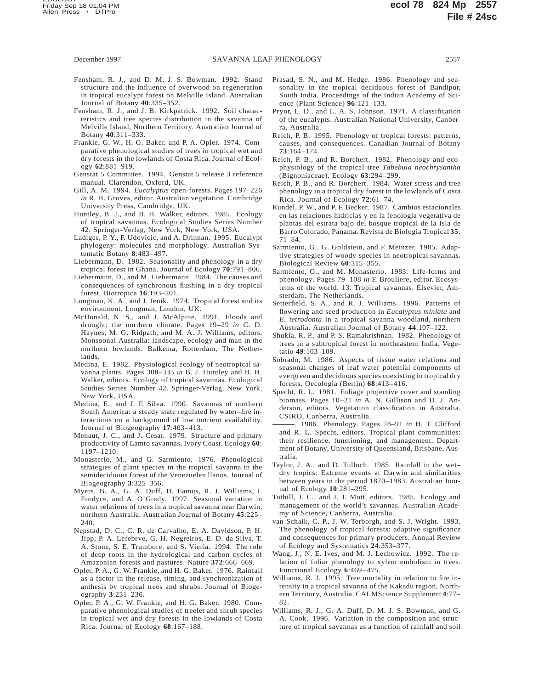- Fensham, R. J., and D. M. J. S. Bowman. 1992. Stand structure and the influence of overwood on regeneration in tropical eucalypt forest on Melville Island. Australian Journal of Botany **40**:335–352.
- Fensham, R. J., and J. B. Kirkpatrick. 1992. Soil characteristics and tree species distribution in the savanna of Melville Island, Northern Territory. Australian Journal of Botany **40**:311–333.
- Frankie, G. W., H. G. Baker, and P. A. Opler. 1974. Comparative phenological studies of trees in tropical wet and dry forests in the lowlands of Costa Rica. Journal of Ecology **62**:881–919.
- Genstat 5 Committee. 1994. Genstat 5 release 3 reference manual. Clarendon, Oxford, UK.
- Gill, A. M. 1994. *Eucalyptus* open-forests. Pages 197–226 *in* R. H. Groves, editor. Australian vegetation. Cambridge University Press, Cambridge, UK.
- Huntley, B. J., and B. H. Walker, editors. 1985. Ecology of tropical savannas. Ecological Studies Series Number 42. Springer-Verlag, New York, New York, USA.
- Ladiges, P. Y., F. Udovicic, and A. Drinnan. 1995. Eucalypt phylogeny: molecules and morphology. Australian Systematic Botany **8**:483–497.
- Liebermann, D. 1982. Seasonality and phenology in a dry tropical forest in Ghana. Journal of Ecology **70**:791–806.
- Liebermann, D., and M. Liebermann. 1984. The causes and consequences of synchronous flushing in a dry tropical forest. Biotropica **16**:193–201.
- Longman, K. A., and J. Jenik. 1974. Tropical forest and its environment. Longman, London, UK.
- McDonald, N. S., and J. McAlpine. 1991. Floods and drought: the northern climate. Pages 19–29 *in* C. D. Haynes, M. G. Ridpath, and M. A. J. Williams, editors. Monsoonal Australia: landscape, ecology and man in the northern lowlands. Balkema, Rotterdam, The Netherlands.
- Medina, E. 1982. Physiological ecology of neotropical savanna plants. Pages 308–335 *in* B. J. Huntley and B. H. Walker, editors. Ecology of tropical savannas. Ecological Studies Series Number 42. Springer-Verlag, New York, New York, USA.
- Medina, E., and J. F. Silva. 1990. Savannas of northern South America: a steady state regulated by water–fire interactions on a background of low nutrient availability. Journal of Biogeography **17**:403–413.
- Menaut, J. C., and J. Cesar. 1979. Structure and primary productivity of Lamto savannas, Ivory Coast. Ecology **60**: 1197–1210.
- Monasterio, M., and G. Sarmiento. 1976. Phenological strategies of plant species in the tropical savanna in the semideciduous forest of the Venezuelen llanos. Journal of Biogeography **3**:325–356.
- Myers, B. A., G. A. Duff, D. Eamus, R. J. Williams, I. Fordyce, and A. O'Grady. 1997. Seasonal variation in water relations of trees in a tropical savanna near Darwin, northern Australia. Australian Journal of Botany **45**:225– 240.
- Nepstad, D. C., C. R. de Carvalho, E. A. Davidson, P. H. Jipp, P. A. Lefebrve, G. H. Negreiros, E. D. da Silva, T. A. Stone, S. E. Trumbore, and S. Vieria. 1994. The role of deep roots in the hydrological and carbon cycles of Amazonian forests and pastures. Nature **372**:666–669.
- Opler, P. A., G. W. Frankie, and H. G. Baker. 1976. Rainfall as a factor in the release, timing, and synchronization of anthesis by tropical trees and shrubs. Journal of Biogeography **3**:231–236.
- Opler, P. A., G. W. Frankie, and H. G. Baker. 1980. Comparative phenological studies of treelet and shrub species in tropical wet and dry forests in the lowlands of Costa Rica. Journal of Ecology **68**:167–188.
- Prasad, S. N., and M. Hedge. 1986. Phenology and seasonality in the tropical deciduous forest of Bandipur, South India. Proceedings of the Indian Academy of Science (Plant Science) **96**:121–133.
- Pryor, L. D., and L. A. S. Johnson. 1971. A classification of the eucalypts. Australian National University, Canberra, Australia.
- Reich, P. B. 1995. Phenology of tropical forests: patterns, causes, and consequences. Canadian Journal of Botany **73**:164–174.
- Reich, P. B., and R. Borchert. 1982. Phenology and ecophysiology of the tropical tree *Tabebuia neochrysantha* (Bignoniaceae). Ecology **63**:294–299.
- Reich, P. B., and R. Borchert. 1984. Water stress and tree phenology in a tropical dry forest in the lowlands of Costa Rica. Journal of Ecology **72**:61–74.
- Rundel, P. W., and P. F. Becker. 1987. Cambios estacionales en las relaciones hidricias y en la fenologia vegetativa de plantas del estrata bajo del bosque tropical de la Isla de Barro Colorado, Panama. Revista de Biologia Tropical **35**: 71–84.
- Sarmiento, G., G. Goldstein, and F. Meinzer. 1985. Adaptive strategies of woody species in neotropical savannas. Biological Review **60**:315–355.
- Sarmiento, G., and M. Monasterio. 1983. Life-forms and phenology. Pages 79–108 *in* F. Brouliere, editor. Ecosystems of the world. 13. Tropical savannas. Elsevier, Amsterdam, The Netherlands.
- Setterfield, S. A., and R. J. Williams. 1996. Patterns of flowering and seed production in *Eucalyptus miniata* and *E. tetrodonta* in a tropical savanna woodland, northern Australia. Australian Journal of Botany **44**:107–122.
- Shukla, R. P., and P. S. Ramakrishnan. 1982. Phenology of trees in a subtropical forest in northeastern India. Vegetatio **49**:103–109.
- Sobrado, M. 1986. Aspects of tissue water relations and seasonal changes of leaf water potential components of evergreen and deciduous species coexisting in tropical dry forests. Oecologia (Berlin) **68**:413–416.
- Specht, R. L. 1981. Foliage projective cover and standing biomass. Pages 10–21 *in* A. N. Gillison and D. J. Anderson, editors. Vegetation classification in Australia. CSIRO, Canberra, Australia.
- . 1986. Phenology. Pages 78–91 *in* H. T. Clifford and R. L. Specht, editors. Tropical plant communities: their resilience, functioning, and management. Department of Botany, University of Queensland, Brisbane, Australia.
- Taylor, J. A., and D. Tulloch. 1985. Rainfall in the wet– dry tropics: Extreme events at Darwin and similarities between years in the period 1870–1983. Australian Journal of Ecology **10**:281–295.
- Tothill, J. C., and J. J. Mott, editors. 1985. Ecology and management of the world's savannas. Australian Academy of Science, Canberra, Australia.
- van Schaik, C. P., J. W. Terborgh, and S. J. Wright. 1993. The phenology of tropical forests: adaptive significance and consequences for primary producers. Annual Review of Ecology and Systematics **24**:353–377.
- Wang, J., N. E. Ives, and M. J. Lechowicz. 1992. The relation of foliar phenology to xylem embolism in trees. Functional Ecology **6**:469–475.
- Williams, R. J. 1995. Tree mortality in relation to fire intensity in a tropical savanna of the Kakadu region, Northern Territory, Australia. CALMScience Supplement **4**:77– 82.
- Williams, R. J., G. A. Duff, D. M. J. S. Bowman, and G. A. Cook. 1996. Variation in the composition and structure of tropical savannas as a function of rainfall and soil